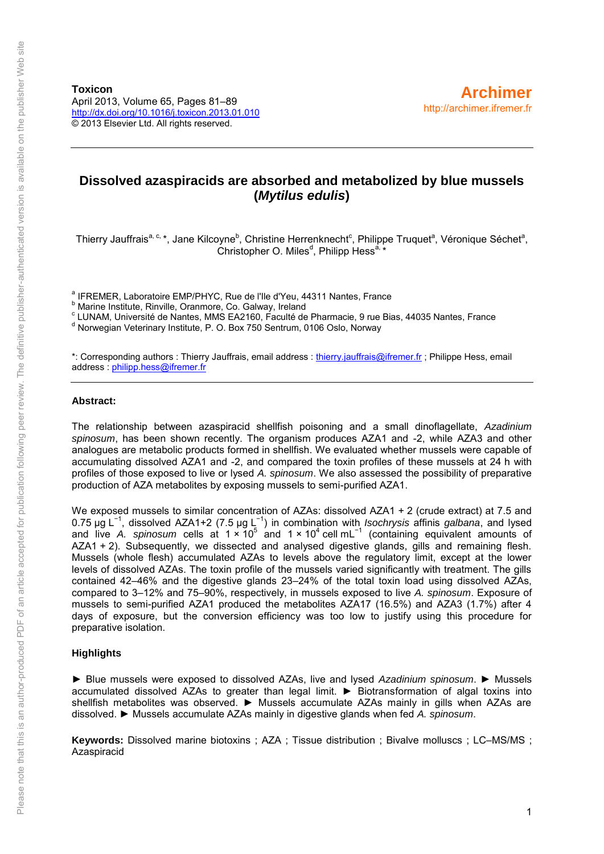**Toxicon** April 2013, Volume 65, Pages 81–89 <http://dx.doi.org/10.1016/j.toxicon.2013.01.010> © 2013 Elsevier Ltd. All rights reserved.

## **Dissolved azaspiracids are absorbed and metabolized by blue mussels (***Mytilus edulis***)**

Thierry Jauffrais<sup>a, c,</sup> \*, Jane Kilcoyne<sup>b</sup>, Christine Herrenknecht<sup>c</sup>, Philippe Truquet<sup>a</sup>, Véronique Séchet<sup>a</sup>, Christopher O. Miles<sup>d</sup>, Philipp Hess<sup>a, \*</sup>

<sup>a</sup> IFREMER, Laboratoire EMP/PHYC, Rue de l'Ile d'Yeu, 44311 Nantes, France

- <sup>b</sup> Marine Institute, Rinville, Oranmore, Co. Galway, Ireland
- c LUNAM, Université de Nantes, MMS EA2160, Faculté de Pharmacie, 9 rue Bias, 44035 Nantes, France

<sup>d</sup> Norwegian Veterinary Institute, P. O. Box 750 Sentrum, 0106 Oslo, Norway

\*: Corresponding authors : Thierry Jauffrais, email address : *thierry.jauffrais@ifremer.fr* ; Philippe Hess, email address : [philipp.hess@ifremer.fr](mailto:philipp.hess@ifremer.fr) 

#### **Abstract:**

The relationship between azaspiracid shellfish poisoning and a small dinoflagellate, *Azadinium spinosum*, has been shown recently. The organism produces AZA1 and -2, while AZA3 and other analogues are metabolic products formed in shellfish. We evaluated whether mussels were capable of accumulating dissolved AZA1 and -2, and compared the toxin profiles of these mussels at 24 h with profiles of those exposed to live or lysed *A. spinosum*. We also assessed the possibility of preparative production of AZA metabolites by exposing mussels to semi-purified AZA1.

We exposed mussels to similar concentration of AZAs: dissolved AZA1 + 2 (crude extract) at 7.5 and 0.75 μg L<sup>-1</sup>, dissolved AZA1+2 (7.5 μg L<sup>-1</sup>) in combination with *Isochrysis* affinis *galbana*, and lysed and live A. spinosum cells at  $1 \times 10^5$  and  $1 \times 10^4$  cell mL<sup>-1</sup> (containing equivalent amounts of AZA1 + 2). Subsequently, we dissected and analysed digestive glands, gills and remaining flesh. Mussels (whole flesh) accumulated AZAs to levels above the regulatory limit, except at the lower levels of dissolved AZAs. The toxin profile of the mussels varied significantly with treatment. The gills contained 42–46% and the digestive glands 23–24% of the total toxin load using dissolved AZAs, compared to 3–12% and 75–90%, respectively, in mussels exposed to live *A. spinosum*. Exposure of mussels to semi-purified AZA1 produced the metabolites AZA17 (16.5%) and AZA3 (1.7%) after 4 days of exposure, but the conversion efficiency was too low to justify using this procedure for preparative isolation.

#### **Highlights**

► Blue mussels were exposed to dissolved AZAs, live and lysed *Azadinium spinosum*. ► Mussels accumulated dissolved AZAs to greater than legal limit. ► Biotransformation of algal toxins into shellfish metabolites was observed. ► Mussels accumulate AZAs mainly in gills when AZAs are dissolved. ► Mussels accumulate AZAs mainly in digestive glands when fed *A. spinosum*.

**Keywords:** Dissolved marine biotoxins ; AZA ; Tissue distribution ; Bivalve molluscs ; LC–MS/MS ; **Azaspiracid**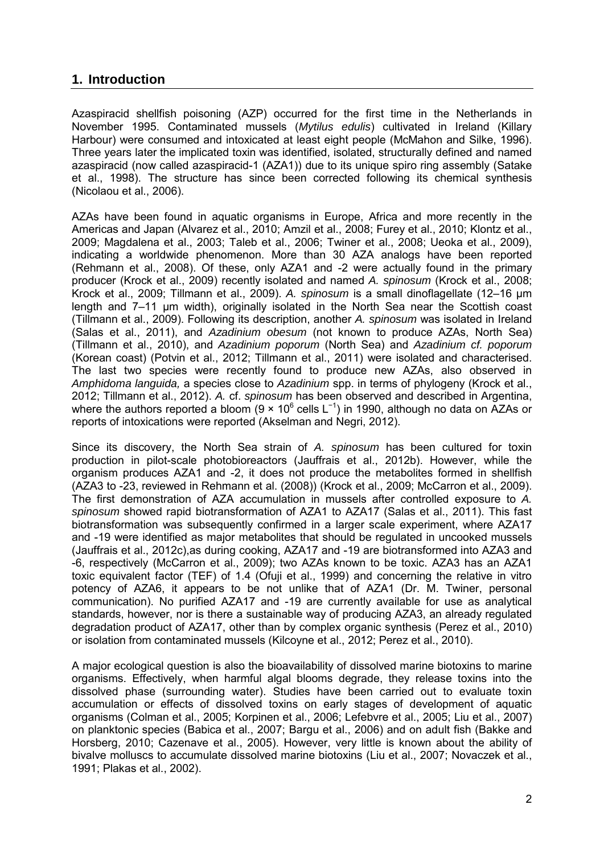## **1. Introduction**

Azaspiracid shellfish poisoning (AZP) occurred for the first time in the Netherlands in November 1995. Contaminated mussels (*Mytilus edulis*) cultivated in Ireland (Killary Harbour) were consumed and intoxicated at least eight people (McMahon and Silke, 1996). Three years later the implicated toxin was identified, isolated, structurally defined and named azaspiracid (now called azaspiracid-1 (AZA1)) due to its unique spiro ring assembly (Satake et al., 1998). The structure has since been corrected following its chemical synthesis (Nicolaou et al., 2006).

AZAs have been found in aquatic organisms in Europe, Africa and more recently in the Americas and Japan (Alvarez et al., 2010; Amzil et al., 2008; Furey et al., 2010; Klontz et al., 2009; Magdalena et al., 2003; Taleb et al., 2006; Twiner et al., 2008; Ueoka et al., 2009), indicating a worldwide phenomenon. More than 30 AZA analogs have been reported (Rehmann et al., 2008). Of these, only AZA1 and -2 were actually found in the primary producer (Krock et al., 2009) recently isolated and named *A. spinosum* (Krock et al., 2008; Krock et al., 2009; Tillmann et al., 2009). *A. spinosum* is a small dinoflagellate (12–16 µm length and 7–11 µm width), originally isolated in the North Sea near the Scottish coast (Tillmann et al., 2009). Following its description, another *A. spinosum* was isolated in Ireland (Salas et al., 2011), and *Azadinium obesum* (not known to produce AZAs, North Sea) (Tillmann et al., 2010), and *Azadinium poporum* (North Sea) and *Azadinium cf. poporum*  (Korean coast) (Potvin et al., 2012; Tillmann et al., 2011) were isolated and characterised. The last two species were recently found to produce new AZAs, also observed in *Amphidoma languida,* a species close to *Azadinium* spp. in terms of phylogeny (Krock et al., 2012; Tillmann et al., 2012). *A.* cf. *spinosum* has been observed and described in Argentina, where the authors reported a bloom (9 × 10<sup>6</sup> cells L<sup>-1</sup>) in 1990, although no data on AZAs or reports of intoxications were reported [\(Akselman and Negri, 2012\)](#page-7-0).

Since its discovery, the North Sea strain of *A. spinosum* has been cultured for toxin production in pilot-scale photobioreactors (Jauffrais et al., 2012b). However, while the organism produces AZA1 and -2, it does not produce the metabolites formed in shellfish (AZA3 to -23, reviewed in Rehmann et al. (2008)) (Krock et al., 2009; McCarron et al., 2009). The first demonstration of AZA accumulation in mussels after controlled exposure to *A. spinosum* showed rapid biotransformation of AZA1 to AZA17 (Salas et al., 2011). This fast biotransformation was subsequently confirmed in a larger scale experiment, where AZA17 and -19 were identified as major metabolites that should be regulated in uncooked mussels (Jauffrais et al., 2012c),as during cooking, AZA17 and -19 are biotransformed into AZA3 and -6, respectively (McCarron et al., 2009); two AZAs known to be toxic. AZA3 has an AZA1 toxic equivalent factor (TEF) of 1.4 (Ofuji et al., 1999) and concerning the relative in vitro potency of AZA6, it appears to be not unlike that of AZA1 (Dr. M. Twiner, personal communication). No purified AZA17 and -19 are currently available for use as analytical standards, however, nor is there a sustainable way of producing AZA3, an already regulated degradation product of AZA17, other than by complex organic synthesis (Perez et al., 2010) or isolation from contaminated mussels (Kilcoyne et al., 2012; Perez et al., 2010).

A major ecological question is also the bioavailability of dissolved marine biotoxins to marine organisms. Effectively, when harmful algal blooms degrade, they release toxins into the dissolved phase (surrounding water). Studies have been carried out to evaluate toxin accumulation or effects of dissolved toxins on early stages of development of aquatic organisms (Colman et al., 2005; Korpinen et al., 2006; Lefebvre et al., 2005; Liu et al., 2007) on planktonic species (Babica et al., 2007; Bargu et al., 2006) and on adult fish (Bakke and Horsberg, 2010; Cazenave et al., 2005). However, very little is known about the ability of bivalve molluscs to accumulate dissolved marine biotoxins (Liu et al., 2007; Novaczek et al., 1991; Plakas et al., 2002).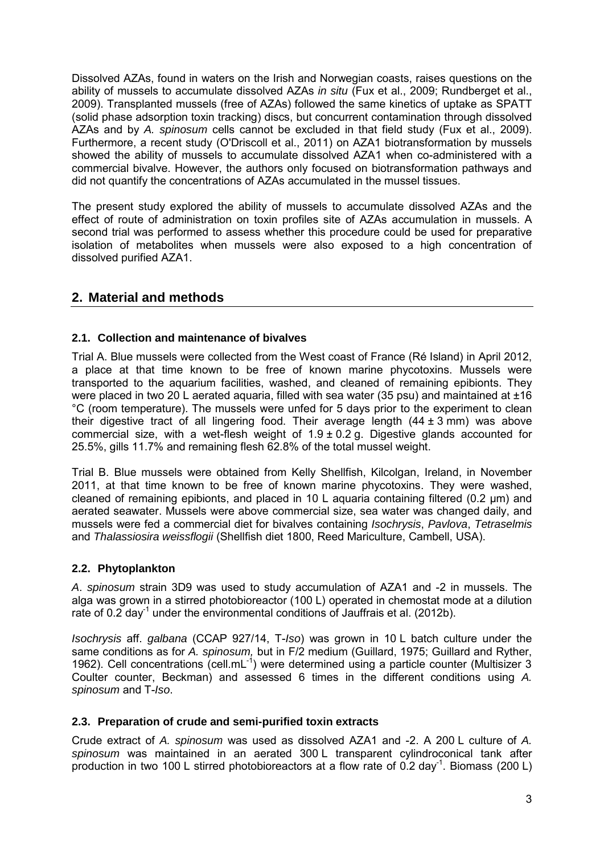Dissolved AZAs, found in waters on the Irish and Norwegian coasts, raises questions on the ability of mussels to accumulate dissolved AZAs *in situ* (Fux et al., 2009; Rundberget et al., 2009). Transplanted mussels (free of AZAs) followed the same kinetics of uptake as SPATT (solid phase adsorption toxin tracking) discs, but concurrent contamination through dissolved AZAs and by *A. spinosum* cells cannot be excluded in that field study (Fux et al., 2009). Furthermore, a recent study (O'Driscoll et al., 2011) on AZA1 biotransformation by mussels showed the ability of mussels to accumulate dissolved AZA1 when co-administered with a commercial bivalve. However, the authors only focused on biotransformation pathways and did not quantify the concentrations of AZAs accumulated in the mussel tissues.

The present study explored the ability of mussels to accumulate dissolved AZAs and the effect of route of administration on toxin profiles site of AZAs accumulation in mussels. A second trial was performed to assess whether this procedure could be used for preparative isolation of metabolites when mussels were also exposed to a high concentration of dissolved purified AZA1.

## **2. Material and methods**

### **2.1. Collection and maintenance of bivalves**

Trial A. Blue mussels were collected from the West coast of France (Ré Island) in April 2012, a place at that time known to be free of known marine phycotoxins. Mussels were transported to the aquarium facilities, washed, and cleaned of remaining epibionts. They were placed in two 20 L aerated aquaria, filled with sea water (35 psu) and maintained at  $\pm 16$ °C (room temperature). The mussels were unfed for 5 days prior to the experiment to clean their digestive tract of all lingering food. Their average length  $(44 \pm 3 \text{ mm})$  was above commercial size, with a wet-flesh weight of  $1.9 \pm 0.2$  g. Digestive glands accounted for 25.5%, gills 11.7% and remaining flesh 62.8% of the total mussel weight.

Trial B. Blue mussels were obtained from Kelly Shellfish, Kilcolgan, Ireland, in November 2011, at that time known to be free of known marine phycotoxins. They were washed, cleaned of remaining epibionts, and placed in 10 L aquaria containing filtered (0.2 µm) and aerated seawater. Mussels were above commercial size, sea water was changed daily, and mussels were fed a commercial diet for bivalves containing *Isochrysis*, *Pavlova*, *Tetraselmis* and *Thalassiosira weissflogii* (Shellfish diet 1800, Reed Mariculture, Cambell, USA).

### **2.2. Phytoplankton**

*A*. *spinosum* strain 3D9 was used to study accumulation of AZA1 and -2 in mussels. The alga was grown in a stirred photobioreactor (100 L) operated in chemostat mode at a dilution rate of 0.2 day<sup>-1</sup> under the environmental conditions of Jauffrais et al. (2012b).

*Isochrysis* aff. *galbana* (CCAP 927/14, T-*Iso*) was grown in 10 L batch culture under the same conditions as for *A. spinosum,* but in F/2 medium (Guillard, 1975; Guillard and Ryther, 1962). Cell concentrations (cell.mL $<sup>-1</sup>$ ) were determined using a particle counter (Multisizer 3</sup> Coulter counter, Beckman) and assessed 6 times in the different conditions using *A. spinosum* and T-*Iso*.

#### **2.3. Preparation of crude and semi-purified toxin extracts**

Crude extract of *A. spinosum* was used as dissolved AZA1 and -2. A 200 L culture of *A. spinosum* was maintained in an aerated 300 L transparent cylindroconical tank after production in two 100 L stirred photobioreactors at a flow rate of 0.2 day<sup>-1</sup>. Biomass (200 L)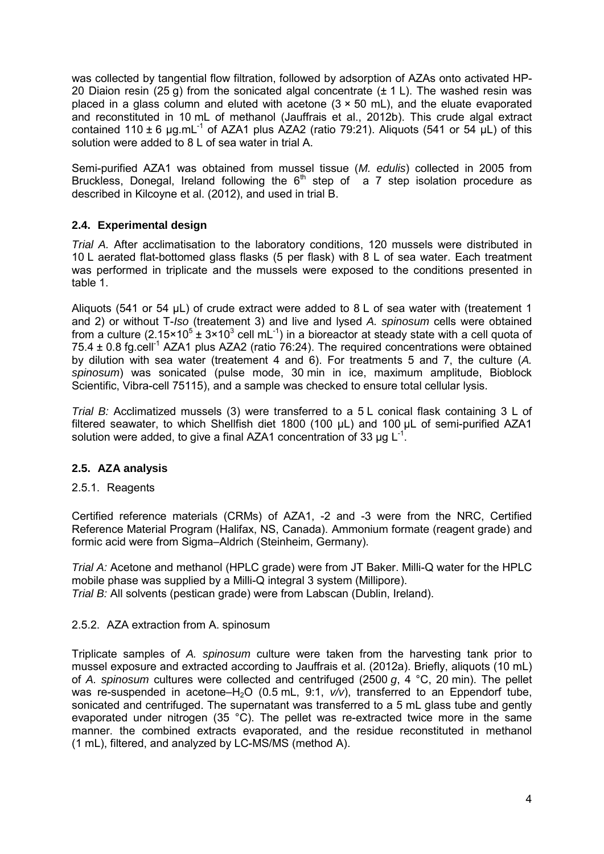was collected by tangential flow filtration, followed by adsorption of AZAs onto activated HP-20 Diaion resin (25 g) from the sonicated algal concentrate  $(\pm 1 \text{ L})$ . The washed resin was placed in a glass column and eluted with acetone  $(3 \times 50 \text{ mL})$ , and the eluate evaporated and reconstituted in 10 mL of methanol (Jauffrais et al., 2012b). This crude algal extract contained 110 ± 6 µg.mL-1 of AZA1 plus AZA2 (ratio 79:21). Aliquots (541 or 54 μL) of this solution were added to 8 L of sea water in trial A.

Semi-purified AZA1 was obtained from mussel tissue (*M. edulis*) collected in 2005 from Bruckless, Donegal, Ireland following the  $6<sup>th</sup>$  step of a 7 step isolation procedure as described in Kilcoyne et al. (2012), and used in trial B.

### **2.4. Experimental design**

*Trial A.* After acclimatisation to the laboratory conditions, 120 mussels were distributed in 10 L aerated flat-bottomed glass flasks (5 per flask) with 8 L of sea water. Each treatment was performed in triplicate and the mussels were exposed to the conditions presented in table 1.

Aliquots (541 or 54 μL) of crude extract were added to 8 L of sea water with (treatement 1 and 2) or without T-*Iso* (treatement 3) and live and lysed *A. spinosum* cells were obtained from a culture (2.15×10<sup>5</sup> ± 3×10<sup>3</sup> cell mL<sup>-1</sup>) in a bioreactor at steady state with a cell quota of 75.4  $\pm$  0.8 fg.cell<sup>-1</sup> AZA1 plus AZA2 (ratio 76:24). The required concentrations were obtained by dilution with sea water (treatement 4 and 6). For treatments 5 and 7, the culture (*A. spinosum*) was sonicated (pulse mode, 30 min in ice, maximum amplitude, Bioblock Scientific, Vibra-cell 75115), and a sample was checked to ensure total cellular lysis.

*Trial B:* Acclimatized mussels (3) were transferred to a 5 L conical flask containing 3 L of filtered seawater, to which Shellfish diet 1800 (100 µL) and 100 µL of semi-purified AZA1 solution were added, to give a final AZA1 concentration of 33  $\mu$ g L<sup>-1</sup>.

### **2.5. AZA analysis**

#### 2.5.1. Reagents

Certified reference materials (CRMs) of AZA1, -2 and -3 were from the NRC, Certified Reference Material Program (Halifax, NS, Canada). Ammonium formate (reagent grade) and formic acid were from Sigma–Aldrich (Steinheim, Germany).

*Trial A:* Acetone and methanol (HPLC grade) were from JT Baker. Milli-Q water for the HPLC mobile phase was supplied by a Milli-Q integral 3 system (Millipore). *Trial B:* All solvents (pestican grade) were from Labscan (Dublin, Ireland).

#### 2.5.2. AZA extraction from A. spinosum

Triplicate samples of *A. spinosum* culture were taken from the harvesting tank prior to mussel exposure and extracted according to Jauffrais et al. (2012a). Briefly, aliquots (10 mL) of *A. spinosum* cultures were collected and centrifuged (2500 *g*, 4 °C, 20 min). The pellet was re-suspended in acetone–H<sub>2</sub>O (0.5 mL, 9:1,  $v/v$ ), transferred to an Eppendorf tube, sonicated and centrifuged. The supernatant was transferred to a 5 mL glass tube and gently evaporated under nitrogen (35 °C). The pellet was re-extracted twice more in the same manner. the combined extracts evaporated, and the residue reconstituted in methanol (1 mL), filtered, and analyzed by LC-MS/MS (method A).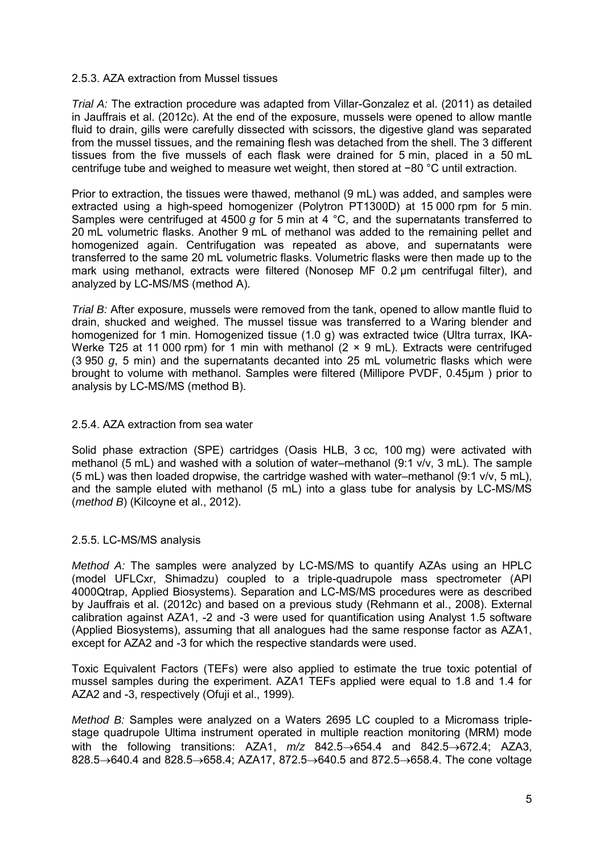#### 2.5.3. AZA extraction from Mussel tissues

*Trial A:* The extraction procedure was adapted from Villar-Gonzalez et al. (2011) as detailed in Jauffrais et al. (2012c). At the end of the exposure, mussels were opened to allow mantle fluid to drain, gills were carefully dissected with scissors, the digestive gland was separated from the mussel tissues, and the remaining flesh was detached from the shell. The 3 different tissues from the five mussels of each flask were drained for 5 min, placed in a 50 mL centrifuge tube and weighed to measure wet weight, then stored at −80 °C until extraction.

Prior to extraction, the tissues were thawed, methanol (9 mL) was added, and samples were extracted using a high-speed homogenizer (Polytron PT1300D) at 15 000 rpm for 5 min. Samples were centrifuged at 4500 *g* for 5 min at 4 °C, and the supernatants transferred to 20 mL volumetric flasks. Another 9 mL of methanol was added to the remaining pellet and homogenized again. Centrifugation was repeated as above, and supernatants were transferred to the same 20 mL volumetric flasks. Volumetric flasks were then made up to the mark using methanol, extracts were filtered (Nonosep MF 0.2  $\mu$ m centrifugal filter), and analyzed by LC-MS/MS (method A).

*Trial B:* After exposure, mussels were removed from the tank, opened to allow mantle fluid to drain, shucked and weighed. The mussel tissue was transferred to a Waring blender and homogenized for 1 min. Homogenized tissue (1.0 g) was extracted twice (Ultra turrax, IKA-Werke T25 at 11 000 rpm) for 1 min with methanol (2 × 9 mL). Extracts were centrifuged (3 950 *g*, 5 min) and the supernatants decanted into 25 mL volumetric flasks which were brought to volume with methanol. Samples were filtered (Millipore PVDF, 0.45µm ) prior to analysis by LC-MS/MS (method B).

#### 2.5.4. AZA extraction from sea water

Solid phase extraction (SPE) cartridges (Oasis HLB, 3 cc, 100 mg) were activated with methanol (5 mL) and washed with a solution of water–methanol (9:1 v/v, 3 mL). The sample (5 mL) was then loaded dropwise, the cartridge washed with water–methanol (9:1 v/v, 5 mL), and the sample eluted with methanol (5 mL) into a glass tube for analysis by LC-MS/MS (*method B*) (Kilcoyne et al., 2012).

#### 2.5.5. LC-MS/MS analysis

*Method A:* The samples were analyzed by LC-MS/MS to quantify AZAs using an HPLC (model UFLCxr, Shimadzu) coupled to a triple-quadrupole mass spectrometer (API 4000Qtrap, Applied Biosystems). Separation and LC-MS/MS procedures were as described by Jauffrais et al. (2012c) and based on a previous study (Rehmann et al., 2008). External calibration against AZA1, -2 and -3 were used for quantification using Analyst 1.5 software (Applied Biosystems), assuming that all analogues had the same response factor as AZA1, except for AZA2 and -3 for which the respective standards were used.

Toxic Equivalent Factors (TEFs) were also applied to estimate the true toxic potential of mussel samples during the experiment. AZA1 TEFs applied were equal to 1.8 and 1.4 for AZA2 and -3, respectively (Ofuji et al., 1999).

*Method B:* Samples were analyzed on a Waters 2695 LC coupled to a Micromass triplestage quadrupole Ultima instrument operated in multiple reaction monitoring (MRM) mode with the following transitions: AZA1,  $m/z$  842.5 $\rightarrow$ 654.4 and 842.5 $\rightarrow$ 672.4; AZA3, 828.5 $\rightarrow$ 640.4 and 828.5 $\rightarrow$ 658.4; AZA17, 872.5 $\rightarrow$ 640.5 and 872.5 $\rightarrow$ 658.4. The cone voltage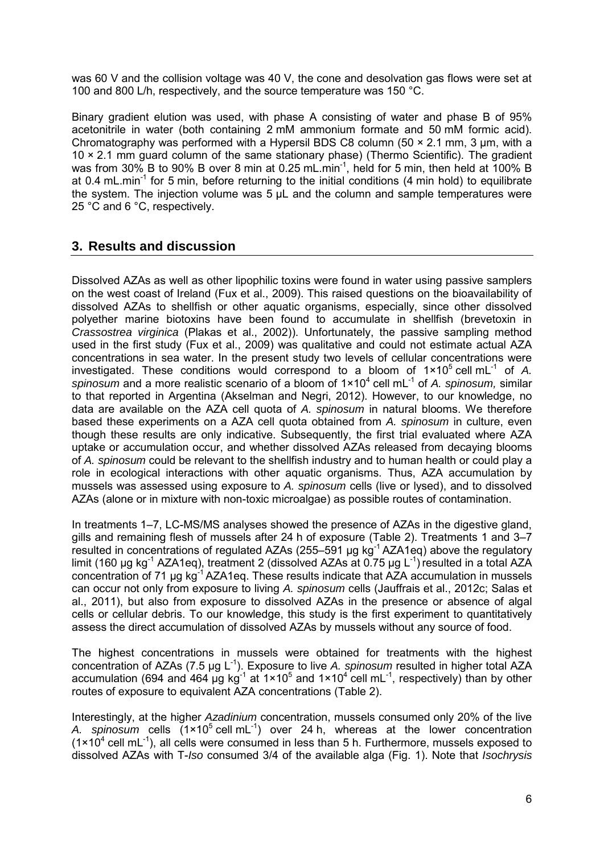was 60 V and the collision voltage was 40 V, the cone and desolvation gas flows were set at 100 and 800 L/h, respectively, and the source temperature was 150 °C.

Binary gradient elution was used, with phase A consisting of water and phase B of 95% acetonitrile in water (both containing 2 mM ammonium formate and 50 mM formic acid). Chromatography was performed with a Hypersil BDS C8 column (50  $\times$  2.1 mm, 3 µm, with a 10  $\times$  2.1 mm guard column of the same stationary phase) (Thermo Scientific). The gradient was from 30% B to 90% B over 8 min at 0.25 mL.min<sup>-1</sup>, held for 5 min, then held at 100% B at 0.4 mL.min<sup>-1</sup> for 5 min, before returning to the initial conditions (4 min hold) to equilibrate the system. The injection volume was 5 µL and the column and sample temperatures were 25 °C and 6 °C, respectively.

## **3. Results and discussion**

Dissolved AZAs as well as other lipophilic toxins were found in water using passive samplers on the west coast of Ireland (Fux et al., 2009). This raised questions on the bioavailability of dissolved AZAs to shellfish or other aquatic organisms, especially, since other dissolved polyether marine biotoxins have been found to accumulate in shellfish (brevetoxin in *Crassostrea virginica* (Plakas et al., 2002)). Unfortunately, the passive sampling method used in the first study (Fux et al., 2009) was qualitative and could not estimate actual AZA concentrations in sea water. In the present study two levels of cellular concentrations were investigated. These conditions would correspond to a bloom of  $1 \times 10^5$  cell mL<sup>-1</sup> of A. spinosum and a more realistic scenario of a bloom of  $1 \times 10^4$  cell mL<sup>-1</sup> of *A. spinosum*, similar to that reported in Argentina [\(Akselman and Negri, 2012\)](#page-7-0). However, to our knowledge, no data are available on the AZA cell quota of *A. spinosum* in natural blooms. We therefore based these experiments on a AZA cell quota obtained from *A. spinosum* in culture, even though these results are only indicative. Subsequently, the first trial evaluated where AZA uptake or accumulation occur, and whether dissolved AZAs released from decaying blooms of *A. spinosum* could be relevant to the shellfish industry and to human health or could play a role in ecological interactions with other aquatic organisms. Thus, AZA accumulation by mussels was assessed using exposure to *A. spinosum* cells (live or lysed), and to dissolved AZAs (alone or in mixture with non-toxic microalgae) as possible routes of contamination.

In treatments 1–7, LC-MS/MS analyses showed the presence of AZAs in the digestive gland, gills and remaining flesh of mussels after 24 h of exposure (Table 2). Treatments 1 and 3–7 resulted in concentrations of regulated AZAs (255–591  $\mu$ g kg<sup>-1</sup> AZA1eq) above the regulatory limit (160 µg kg<sup>-1</sup> AZA1eq), treatment 2 (dissolved AZAs at 0.75 µg L<sup>-1</sup>) resulted in a total AZA concentration of 71 µg kg<sup>-1</sup> AZA1eq. These results indicate that AZA accumulation in mussels can occur not only from exposure to living *A. spinosum* cells (Jauffrais et al., 2012c; Salas et al., 2011), but also from exposure to dissolved AZAs in the presence or absence of algal cells or cellular debris. To our knowledge, this study is the first experiment to quantitatively assess the direct accumulation of dissolved AZAs by mussels without any source of food.

The highest concentrations in mussels were obtained for treatments with the highest concentration of AZAs (7.5 µg L-1). Exposure to live *A. spinosum* resulted in higher total AZA accumulation (694 and 464 µg kg<sup>-1</sup> at 1×10<sup>5</sup> and 1×10<sup>4</sup> cell mL<sup>-1</sup>, respectively) than by other routes of exposure to equivalent AZA concentrations (Table 2).

Interestingly, at the higher *Azadinium* concentration, mussels consumed only 20% of the live A. spinosum cells (1×10<sup>5</sup> cell mL<sup>-1</sup>) over 24 h, whereas at the lower concentration  $(1 \times 10^4 \text{ cell } mL^{-1})$ , all cells were consumed in less than 5 h. Furthermore, mussels exposed to dissolved AZAs with T-*Iso* consumed 3/4 of the available alga (Fig. 1). Note that *Isochrysis*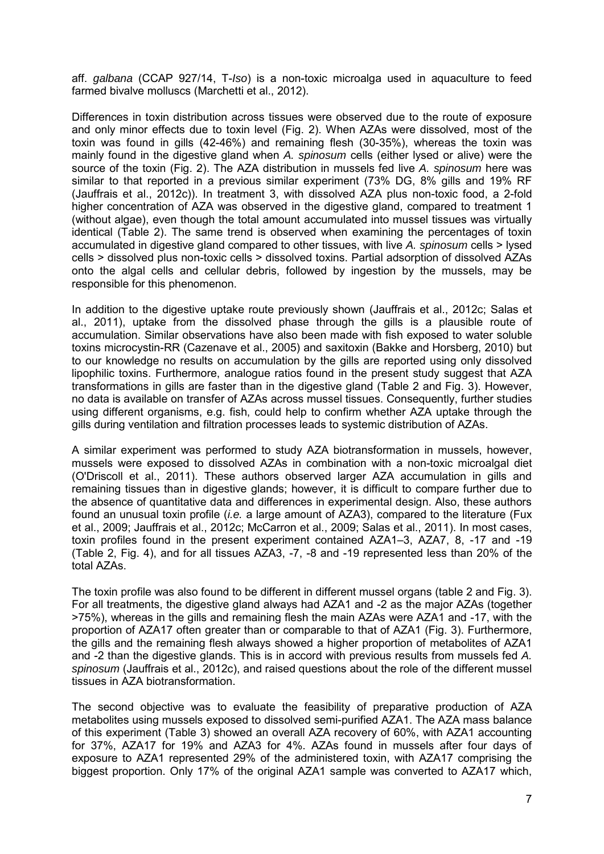aff. *galbana* (CCAP 927/14, T-*Iso*) is a non-toxic microalga used in aquaculture to feed farmed bivalve molluscs (Marchetti et al., 2012).

Differences in toxin distribution across tissues were observed due to the route of exposure and only minor effects due to toxin level (Fig. 2). When AZAs were dissolved, most of the toxin was found in gills (42-46%) and remaining flesh (30-35%), whereas the toxin was mainly found in the digestive gland when *A. spinosum* cells (either lysed or alive) were the source of the toxin (Fig. 2). The AZA distribution in mussels fed live *A. spinosum* here was similar to that reported in a previous similar experiment (73% DG, 8% gills and 19% RF (Jauffrais et al., 2012c)). In treatment 3, with dissolved AZA plus non-toxic food, a 2-fold higher concentration of AZA was observed in the digestive gland, compared to treatment 1 (without algae), even though the total amount accumulated into mussel tissues was virtually identical (Table 2). The same trend is observed when examining the percentages of toxin accumulated in digestive gland compared to other tissues, with live *A. spinosum* cells > lysed cells > dissolved plus non-toxic cells > dissolved toxins. Partial adsorption of dissolved AZAs onto the algal cells and cellular debris, followed by ingestion by the mussels, may be responsible for this phenomenon.

In addition to the digestive uptake route previously shown (Jauffrais et al., 2012c; Salas et al., 2011), uptake from the dissolved phase through the gills is a plausible route of accumulation. Similar observations have also been made with fish exposed to water soluble toxins microcystin-RR (Cazenave et al., 2005) and saxitoxin (Bakke and Horsberg, 2010) but to our knowledge no results on accumulation by the gills are reported using only dissolved lipophilic toxins. Furthermore, analogue ratios found in the present study suggest that AZA transformations in gills are faster than in the digestive gland (Table 2 and Fig. 3). However, no data is available on transfer of AZAs across mussel tissues. Consequently, further studies using different organisms, e.g. fish, could help to confirm whether AZA uptake through the gills during ventilation and filtration processes leads to systemic distribution of AZAs.

A similar experiment was performed to study AZA biotransformation in mussels, however, mussels were exposed to dissolved AZAs in combination with a non-toxic microalgal diet (O'Driscoll et al., 2011). These authors observed larger AZA accumulation in gills and remaining tissues than in digestive glands; however, it is difficult to compare further due to the absence of quantitative data and differences in experimental design. Also, these authors found an unusual toxin profile (*i.e.* a large amount of AZA3), compared to the literature (Fux et al., 2009; Jauffrais et al., 2012c; McCarron et al., 2009; Salas et al., 2011). In most cases, toxin profiles found in the present experiment contained AZA1–3, AZA7, 8, -17 and -19 (Table 2, Fig. 4), and for all tissues AZA3, -7, -8 and -19 represented less than 20% of the total AZAs.

The toxin profile was also found to be different in different mussel organs (table 2 and Fig. 3). For all treatments, the digestive gland always had AZA1 and -2 as the major AZAs (together >75%), whereas in the gills and remaining flesh the main AZAs were AZA1 and -17, with the proportion of AZA17 often greater than or comparable to that of AZA1 (Fig. 3). Furthermore, the gills and the remaining flesh always showed a higher proportion of metabolites of AZA1 and -2 than the digestive glands. This is in accord with previous results from mussels fed *A. spinosum* (Jauffrais et al., 2012c), and raised questions about the role of the different mussel tissues in AZA biotransformation.

The second objective was to evaluate the feasibility of preparative production of AZA metabolites using mussels exposed to dissolved semi-purified AZA1. The AZA mass balance of this experiment (Table 3) showed an overall AZA recovery of 60%, with AZA1 accounting for 37%, AZA17 for 19% and AZA3 for 4%. AZAs found in mussels after four days of exposure to AZA1 represented 29% of the administered toxin, with AZA17 comprising the biggest proportion. Only 17% of the original AZA1 sample was converted to AZA17 which,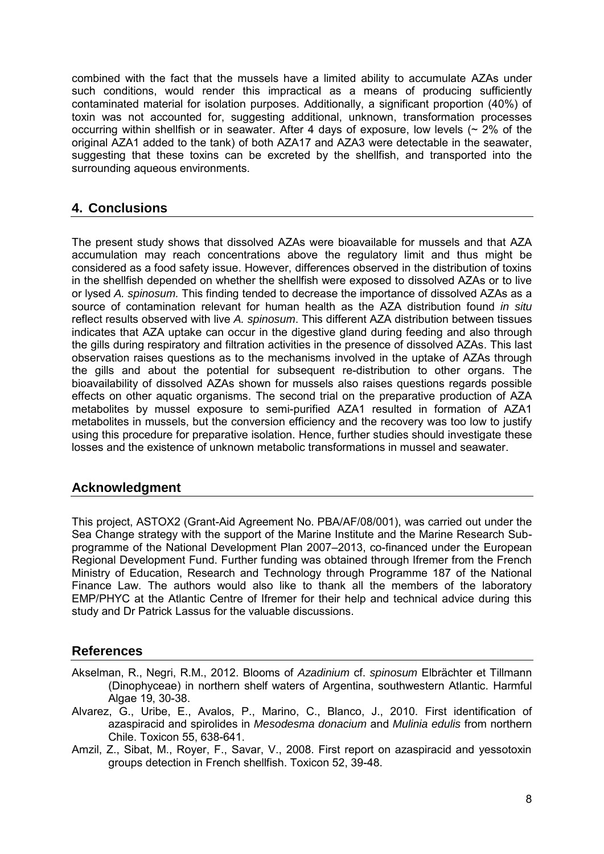combined with the fact that the mussels have a limited ability to accumulate AZAs under such conditions, would render this impractical as a means of producing sufficiently contaminated material for isolation purposes. Additionally, a significant proportion (40%) of toxin was not accounted for, suggesting additional, unknown, transformation processes occurring within shellfish or in seawater. After 4 days of exposure, low levels  $\sim 2\%$  of the original AZA1 added to the tank) of both AZA17 and AZA3 were detectable in the seawater, suggesting that these toxins can be excreted by the shellfish, and transported into the surrounding aqueous environments.

## **4. Conclusions**

The present study shows that dissolved AZAs were bioavailable for mussels and that AZA accumulation may reach concentrations above the regulatory limit and thus might be considered as a food safety issue. However, differences observed in the distribution of toxins in the shellfish depended on whether the shellfish were exposed to dissolved AZAs or to live or lysed *A. spinosum.* This finding tended to decrease the importance of dissolved AZAs as a source of contamination relevant for human health as the AZA distribution found *in situ* reflect results observed with live *A. spinosum*. This different AZA distribution between tissues indicates that AZA uptake can occur in the digestive gland during feeding and also through the gills during respiratory and filtration activities in the presence of dissolved AZAs. This last observation raises questions as to the mechanisms involved in the uptake of AZAs through the gills and about the potential for subsequent re-distribution to other organs. The bioavailability of dissolved AZAs shown for mussels also raises questions regards possible effects on other aquatic organisms. The second trial on the preparative production of AZA metabolites by mussel exposure to semi-purified AZA1 resulted in formation of AZA1 metabolites in mussels, but the conversion efficiency and the recovery was too low to justify using this procedure for preparative isolation. Hence, further studies should investigate these losses and the existence of unknown metabolic transformations in mussel and seawater.

## **Acknowledgment**

This project, ASTOX2 (Grant-Aid Agreement No. PBA/AF/08/001), was carried out under the Sea Change strategy with the support of the Marine Institute and the Marine Research Subprogramme of the National Development Plan 2007–2013, co-financed under the European Regional Development Fund. Further funding was obtained through Ifremer from the French Ministry of Education, Research and Technology through Programme 187 of the National Finance Law. The authors would also like to thank all the members of the laboratory EMP/PHYC at the Atlantic Centre of Ifremer for their help and technical advice during this study and Dr Patrick Lassus for the valuable discussions.

## **References**

- <span id="page-7-0"></span>Akselman, R., Negri, R.M., 2012. Blooms of *Azadinium* cf. *spinosum* Elbrächter et Tillmann (Dinophyceae) in northern shelf waters of Argentina, southwestern Atlantic. Harmful Algae 19, 30-38.
- Alvarez, G., Uribe, E., Avalos, P., Marino, C., Blanco, J., 2010. First identification of azaspiracid and spirolides in *Mesodesma donacium* and *Mulinia edulis* from northern Chile. Toxicon 55, 638-641.
- Amzil, Z., Sibat, M., Royer, F., Savar, V., 2008. First report on azaspiracid and yessotoxin groups detection in French shellfish. Toxicon 52, 39-48.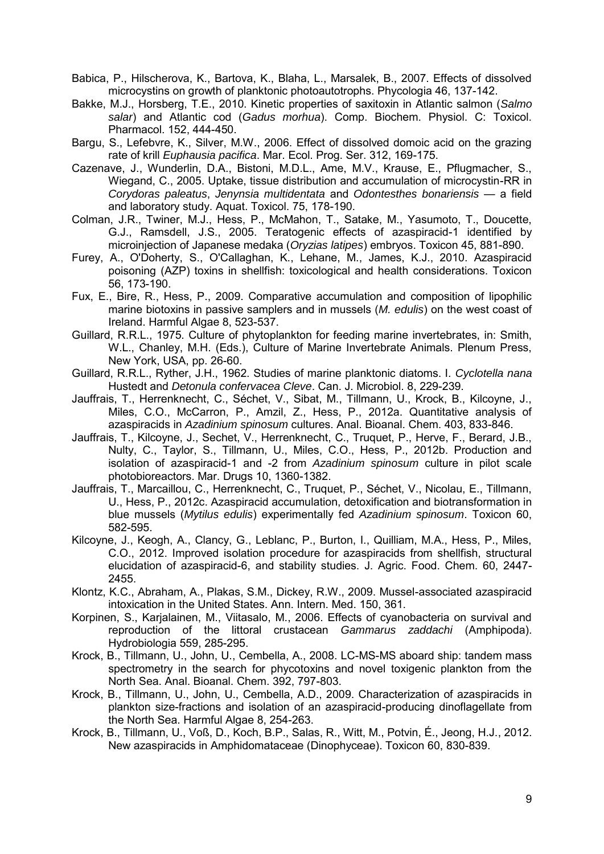- Babica, P., Hilscherova, K., Bartova, K., Blaha, L., Marsalek, B., 2007. Effects of dissolved microcystins on growth of planktonic photoautotrophs. Phycologia 46, 137-142.
- Bakke, M.J., Horsberg, T.E., 2010. Kinetic properties of saxitoxin in Atlantic salmon (*Salmo salar*) and Atlantic cod (*Gadus morhua*). Comp. Biochem. Physiol. C: Toxicol. Pharmacol. 152, 444-450.
- Bargu, S., Lefebvre, K., Silver, M.W., 2006. Effect of dissolved domoic acid on the grazing rate of krill *Euphausia pacifica*. Mar. Ecol. Prog. Ser. 312, 169-175.
- Cazenave, J., Wunderlin, D.A., Bistoni, M.D.L., Ame, M.V., Krause, E., Pflugmacher, S., Wiegand, C., 2005. Uptake, tissue distribution and accumulation of microcystin-RR in *Corydoras paleatus*, *Jenynsia multidentata* and *Odontesthes bonariensis* — a field and laboratory study. Aquat. Toxicol. 75, 178-190.
- Colman, J.R., Twiner, M.J., Hess, P., McMahon, T., Satake, M., Yasumoto, T., Doucette, G.J., Ramsdell, J.S., 2005. Teratogenic effects of azaspiracid-1 identified by microinjection of Japanese medaka (*Oryzias latipes*) embryos. Toxicon 45, 881-890.
- Furey, A., O'Doherty, S., O'Callaghan, K., Lehane, M., James, K.J., 2010. Azaspiracid poisoning (AZP) toxins in shellfish: toxicological and health considerations. Toxicon 56, 173-190.
- Fux, E., Bire, R., Hess, P., 2009. Comparative accumulation and composition of lipophilic marine biotoxins in passive samplers and in mussels (*M. edulis*) on the west coast of Ireland. Harmful Algae 8, 523-537.
- Guillard, R.R.L., 1975. Culture of phytoplankton for feeding marine invertebrates, in: Smith, W.L., Chanley, M.H. (Eds.), Culture of Marine Invertebrate Animals. Plenum Press, New York, USA, pp. 26-60.
- Guillard, R.R.L., Ryther, J.H., 1962. Studies of marine planktonic diatoms. I. *Cyclotella nana* Hustedt and *Detonula confervacea Cleve*. Can. J. Microbiol. 8, 229-239.
- Jauffrais, T., Herrenknecht, C., Séchet, V., Sibat, M., Tillmann, U., Krock, B., Kilcoyne, J., Miles, C.O., McCarron, P., Amzil, Z., Hess, P., 2012a. Quantitative analysis of azaspiracids in *Azadinium spinosum* cultures. Anal. Bioanal. Chem. 403, 833-846.
- Jauffrais, T., Kilcoyne, J., Sechet, V., Herrenknecht, C., Truquet, P., Herve, F., Berard, J.B., Nulty, C., Taylor, S., Tillmann, U., Miles, C.O., Hess, P., 2012b. Production and isolation of azaspiracid-1 and -2 from *Azadinium spinosum* culture in pilot scale photobioreactors. Mar. Drugs 10, 1360-1382.
- Jauffrais, T., Marcaillou, C., Herrenknecht, C., Truquet, P., Séchet, V., Nicolau, E., Tillmann, U., Hess, P., 2012c. Azaspiracid accumulation, detoxification and biotransformation in blue mussels (*Mytilus edulis*) experimentally fed *Azadinium spinosum*. Toxicon 60, 582-595.
- Kilcoyne, J., Keogh, A., Clancy, G., Leblanc, P., Burton, I., Quilliam, M.A., Hess, P., Miles, C.O., 2012. Improved isolation procedure for azaspiracids from shellfish, structural elucidation of azaspiracid-6, and stability studies. J. Agric. Food. Chem. 60, 2447- 2455.
- Klontz, K.C., Abraham, A., Plakas, S.M., Dickey, R.W., 2009. Mussel-associated azaspiracid intoxication in the United States. Ann. Intern. Med. 150, 361.
- Korpinen, S., Karjalainen, M., Viitasalo, M., 2006. Effects of cyanobacteria on survival and reproduction of the littoral crustacean *Gammarus zaddachi* (Amphipoda). Hydrobiologia 559, 285-295.
- Krock, B., Tillmann, U., John, U., Cembella, A., 2008. LC-MS-MS aboard ship: tandem mass spectrometry in the search for phycotoxins and novel toxigenic plankton from the North Sea. Anal. Bioanal. Chem. 392, 797-803.
- Krock, B., Tillmann, U., John, U., Cembella, A.D., 2009. Characterization of azaspiracids in plankton size-fractions and isolation of an azaspiracid-producing dinoflagellate from the North Sea. Harmful Algae 8, 254-263.
- Krock, B., Tillmann, U., Voß, D., Koch, B.P., Salas, R., Witt, M., Potvin, É., Jeong, H.J., 2012. New azaspiracids in Amphidomataceae (Dinophyceae). Toxicon 60, 830-839.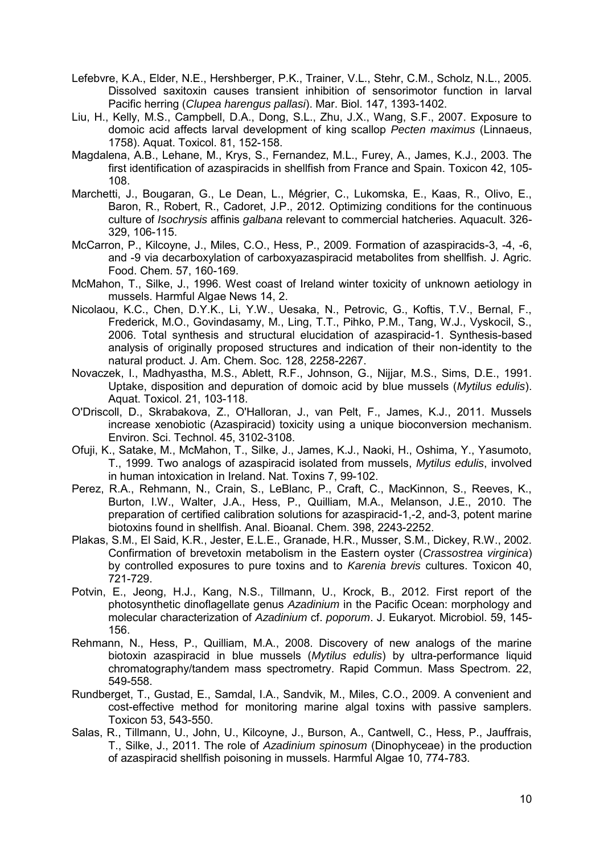- Lefebvre, K.A., Elder, N.E., Hershberger, P.K., Trainer, V.L., Stehr, C.M., Scholz, N.L., 2005. Dissolved saxitoxin causes transient inhibition of sensorimotor function in larval Pacific herring (*Clupea harengus pallasi*). Mar. Biol. 147, 1393-1402.
- Liu, H., Kelly, M.S., Campbell, D.A., Dong, S.L., Zhu, J.X., Wang, S.F., 2007. Exposure to domoic acid affects larval development of king scallop *Pecten maximus* (Linnaeus, 1758). Aquat. Toxicol. 81, 152-158.
- Magdalena, A.B., Lehane, M., Krys, S., Fernandez, M.L., Furey, A., James, K.J., 2003. The first identification of azaspiracids in shellfish from France and Spain. Toxicon 42, 105- 108.
- Marchetti, J., Bougaran, G., Le Dean, L., Mégrier, C., Lukomska, E., Kaas, R., Olivo, E., Baron, R., Robert, R., Cadoret, J.P., 2012. Optimizing conditions for the continuous culture of *Isochrysis* affinis *galbana* relevant to commercial hatcheries. Aquacult. 326- 329, 106-115.
- McCarron, P., Kilcoyne, J., Miles, C.O., Hess, P., 2009. Formation of azaspiracids-3, -4, -6, and -9 via decarboxylation of carboxyazaspiracid metabolites from shellfish. J. Agric. Food. Chem. 57, 160-169.
- McMahon, T., Silke, J., 1996. West coast of Ireland winter toxicity of unknown aetiology in mussels. Harmful Algae News 14, 2.
- Nicolaou, K.C., Chen, D.Y.K., Li, Y.W., Uesaka, N., Petrovic, G., Koftis, T.V., Bernal, F., Frederick, M.O., Govindasamy, M., Ling, T.T., Pihko, P.M., Tang, W.J., Vyskocil, S., 2006. Total synthesis and structural elucidation of azaspiracid-1. Synthesis-based analysis of originally proposed structures and indication of their non-identity to the natural product. J. Am. Chem. Soc. 128, 2258-2267.
- Novaczek, I., Madhyastha, M.S., Ablett, R.F., Johnson, G., Nijjar, M.S., Sims, D.E., 1991. Uptake, disposition and depuration of domoic acid by blue mussels (*Mytilus edulis*). Aquat. Toxicol. 21, 103-118.
- O'Driscoll, D., Skrabakova, Z., O'Halloran, J., van Pelt, F., James, K.J., 2011. Mussels increase xenobiotic (Azaspiracid) toxicity using a unique bioconversion mechanism. Environ. Sci. Technol. 45, 3102-3108.
- Ofuji, K., Satake, M., McMahon, T., Silke, J., James, K.J., Naoki, H., Oshima, Y., Yasumoto, T., 1999. Two analogs of azaspiracid isolated from mussels, *Mytilus edulis*, involved in human intoxication in Ireland. Nat. Toxins 7, 99-102.
- Perez, R.A., Rehmann, N., Crain, S., LeBlanc, P., Craft, C., MacKinnon, S., Reeves, K., Burton, I.W., Walter, J.A., Hess, P., Quilliam, M.A., Melanson, J.E., 2010. The preparation of certified calibration solutions for azaspiracid-1,-2, and-3, potent marine biotoxins found in shellfish. Anal. Bioanal. Chem. 398, 2243-2252.
- Plakas, S.M., El Said, K.R., Jester, E.L.E., Granade, H.R., Musser, S.M., Dickey, R.W., 2002. Confirmation of brevetoxin metabolism in the Eastern oyster (*Crassostrea virginica*) by controlled exposures to pure toxins and to *Karenia brevis* cultures. Toxicon 40, 721-729.
- Potvin, E., Jeong, H.J., Kang, N.S., Tillmann, U., Krock, B., 2012. First report of the photosynthetic dinoflagellate genus *Azadinium* in the Pacific Ocean: morphology and molecular characterization of *Azadinium* cf. *poporum*. J. Eukaryot. Microbiol. 59, 145- 156.
- Rehmann, N., Hess, P., Quilliam, M.A., 2008. Discovery of new analogs of the marine biotoxin azaspiracid in blue mussels (*Mytilus edulis*) by ultra-performance liquid chromatography/tandem mass spectrometry. Rapid Commun. Mass Spectrom. 22, 549-558.
- Rundberget, T., Gustad, E., Samdal, I.A., Sandvik, M., Miles, C.O., 2009. A convenient and cost-effective method for monitoring marine algal toxins with passive samplers. Toxicon 53, 543-550.
- Salas, R., Tillmann, U., John, U., Kilcoyne, J., Burson, A., Cantwell, C., Hess, P., Jauffrais, T., Silke, J., 2011. The role of *Azadinium spinosum* (Dinophyceae) in the production of azaspiracid shellfish poisoning in mussels. Harmful Algae 10, 774-783.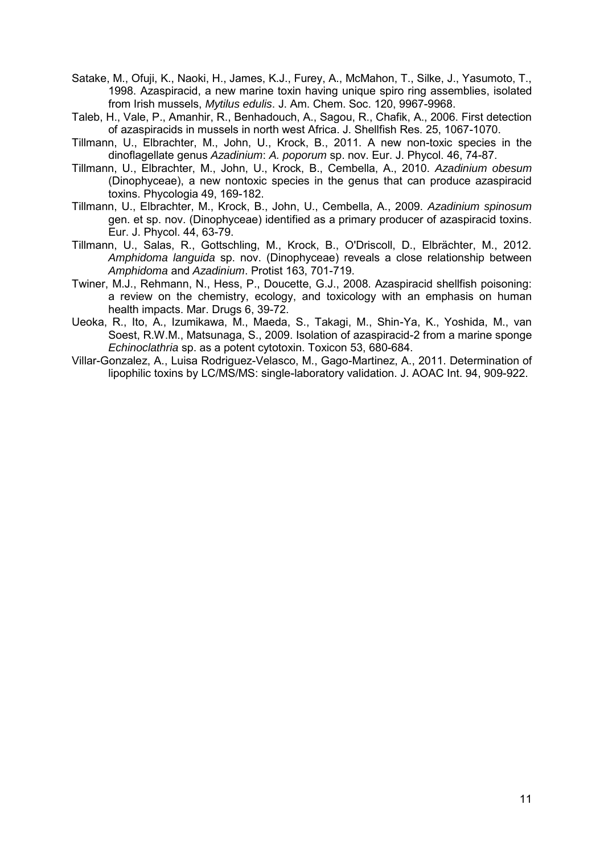- Satake, M., Ofuji, K., Naoki, H., James, K.J., Furey, A., McMahon, T., Silke, J., Yasumoto, T., 1998. Azaspiracid, a new marine toxin having unique spiro ring assemblies, isolated from Irish mussels, *Mytilus edulis*. J. Am. Chem. Soc. 120, 9967-9968.
- Taleb, H., Vale, P., Amanhir, R., Benhadouch, A., Sagou, R., Chafik, A., 2006. First detection of azaspiracids in mussels in north west Africa. J. Shellfish Res. 25, 1067-1070.
- Tillmann, U., Elbrachter, M., John, U., Krock, B., 2011. A new non-toxic species in the dinoflagellate genus *Azadinium*: *A. poporum* sp. nov. Eur. J. Phycol. 46, 74-87.
- Tillmann, U., Elbrachter, M., John, U., Krock, B., Cembella, A., 2010. *Azadinium obesum*  (Dinophyceae), a new nontoxic species in the genus that can produce azaspiracid toxins. Phycologia 49, 169-182.
- Tillmann, U., Elbrachter, M., Krock, B., John, U., Cembella, A., 2009. *Azadinium spinosum* gen. et sp. nov. (Dinophyceae) identified as a primary producer of azaspiracid toxins. Eur. J. Phycol. 44, 63-79.
- Tillmann, U., Salas, R., Gottschling, M., Krock, B., O'Driscoll, D., Elbrächter, M., 2012. *Amphidoma languida* sp. nov. (Dinophyceae) reveals a close relationship between *Amphidoma* and *Azadinium*. Protist 163, 701-719.
- Twiner, M.J., Rehmann, N., Hess, P., Doucette, G.J., 2008. Azaspiracid shellfish poisoning: a review on the chemistry, ecology, and toxicology with an emphasis on human health impacts. Mar. Drugs 6, 39-72.
- Ueoka, R., Ito, A., Izumikawa, M., Maeda, S., Takagi, M., Shin-Ya, K., Yoshida, M., van Soest, R.W.M., Matsunaga, S., 2009. Isolation of azaspiracid-2 from a marine sponge *Echinoclathria* sp. as a potent cytotoxin. Toxicon 53, 680-684.
- Villar-Gonzalez, A., Luisa Rodriguez-Velasco, M., Gago-Martinez, A., 2011. Determination of lipophilic toxins by LC/MS/MS: single-laboratory validation. J. AOAC Int. 94, 909-922.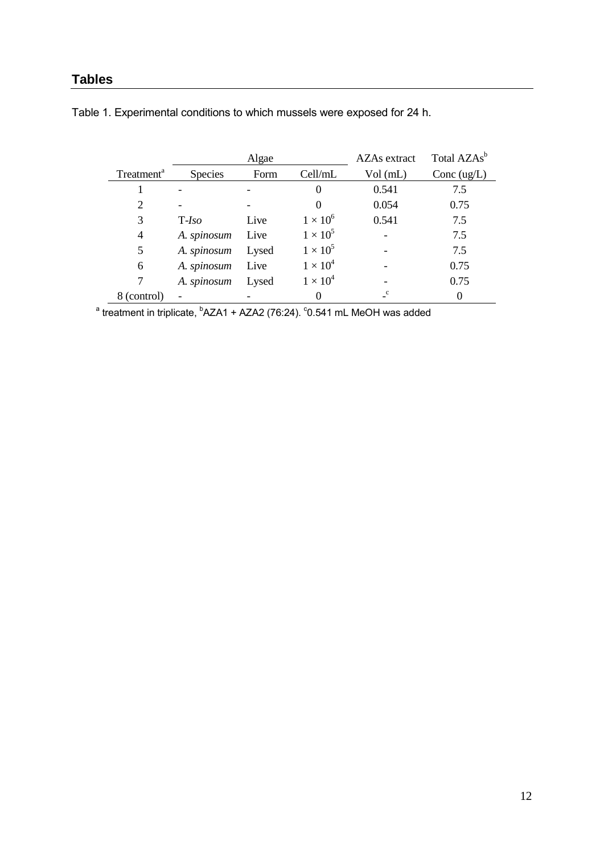# **Tables**

|                        |                  | Algae |                 | AZAs extract | Total AZAs <sup>b</sup>           |
|------------------------|------------------|-------|-----------------|--------------|-----------------------------------|
| Treatment <sup>a</sup> | <b>Species</b>   | Form  | Cell/mL         | Vol (mL)     | Conc $\left(\frac{u g}{L}\right)$ |
|                        |                  |       | $\Omega$        | 0.541        | 7.5                               |
| 2                      |                  |       | $\theta$        | 0.054        | 0.75                              |
| 3                      | $T$ - <i>Iso</i> | Live  | $1 \times 10^6$ | 0.541        | 7.5                               |
| $\overline{4}$         | A. spinosum      | Live  | $1 \times 10^5$ |              | 7.5                               |
| 5                      | A. spinosum      | Lysed | $1 \times 10^5$ |              | 7.5                               |
| 6                      | A. spinosum      | Live  | $1 \times 10^4$ |              | 0.75                              |
| 7                      | A. spinosum      | Lysed | $1 \times 10^4$ |              | 0.75                              |
| 8 (control)            |                  |       |                 |              | 0                                 |

Table 1. Experimental conditions to which mussels were exposed for 24 h.

<sup>a</sup> treatment in triplicate,  ${}^{\text{b}}$ AZA1 + AZA2 (76:24).  ${}^{\text{c}}$ 0.541 mL MeOH was added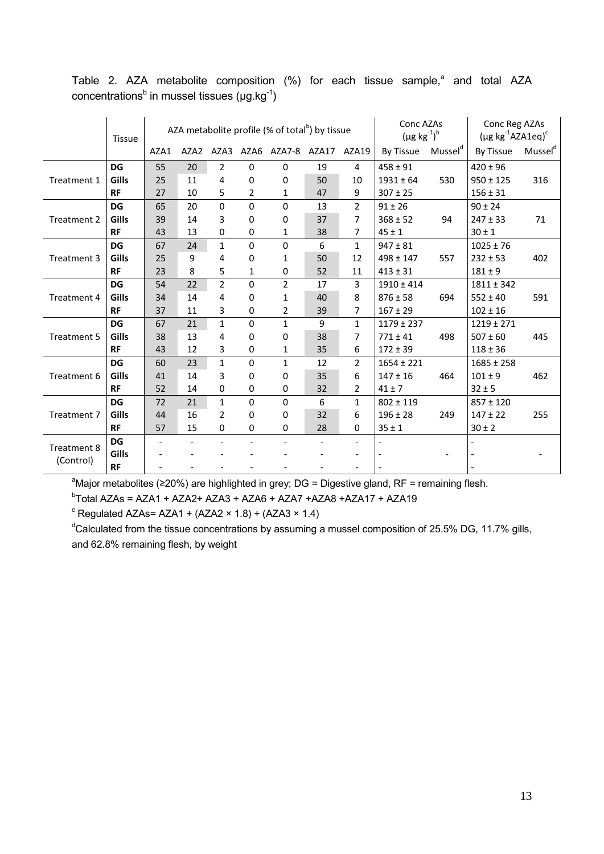|                          | <b>Tissue</b> |      | AZA metabolite profile (% of total <sup>b</sup> ) by tissue |                |             |                         |    | Conc AZAs<br>$(\mu\mathrm{g\;{kg}^{-1}})^{\mathrm{b}}$ |                  | Conc Reg AZAs<br>$(\mu g kg^{-1}AZA1eq)^{c}$ |                |                     |
|--------------------------|---------------|------|-------------------------------------------------------------|----------------|-------------|-------------------------|----|--------------------------------------------------------|------------------|----------------------------------------------|----------------|---------------------|
|                          |               | AZA1 |                                                             | AZA2 AZA3      |             | AZA6 AZA7-8 AZA17 AZA19 |    |                                                        | <b>By Tissue</b> | Mussel <sup>d</sup>                          | By Tissue      | Mussel <sup>d</sup> |
|                          | DG            | 55   | 20                                                          | $\overline{2}$ | $\mathbf 0$ | 0                       | 19 | 4                                                      | $458 \pm 91$     |                                              | $420 \pm 96$   |                     |
| Treatment 1              | Gills         | 25   | 11                                                          | 4              | 0           | 0                       | 50 | 10                                                     | $1931 \pm 64$    | 530                                          | $950 \pm 125$  | 316                 |
|                          | <b>RF</b>     | 27   | 10                                                          | 5              | 2           | 1                       | 47 | 9                                                      | $307 \pm 25$     |                                              | $156 \pm 31$   |                     |
|                          | DG            | 65   | 20                                                          | $\overline{0}$ | $\mathbf 0$ | $\Omega$                | 13 | $\overline{2}$                                         | $91 \pm 26$      |                                              | $90 \pm 24$    |                     |
| Treatment 2              | Gills         | 39   | 14                                                          | 3              | 0           | $\Omega$                | 37 | 7                                                      | $368 \pm 52$     | 94                                           | $247 \pm 33$   | 71                  |
|                          | <b>RF</b>     | 43   | 13                                                          | 0              | 0           | 1                       | 38 | 7                                                      | $45 \pm 1$       |                                              | $30 \pm 1$     |                     |
|                          | DG            | 67   | 24                                                          | $\mathbf{1}$   | 0           | $\Omega$                | 6  | $\mathbf{1}$                                           | $947 \pm 81$     |                                              | $1025 \pm 76$  |                     |
| Treatment 3              | Gills         | 25   | 9                                                           | 4              | 0           | 1                       | 50 | 12                                                     | $498 \pm 147$    | 557                                          | $232 \pm 53$   | 402                 |
|                          | <b>RF</b>     | 23   | 8                                                           | 5              | 1           | $\mathbf 0$             | 52 | 11                                                     | $413 \pm 31$     |                                              | $181 + 9$      |                     |
|                          | DG            | 54   | 22                                                          | $\overline{2}$ | $\Omega$    | $\overline{2}$          | 17 | 3                                                      | $1910 \pm 414$   |                                              | $1811 \pm 342$ |                     |
| Treatment 4              | Gills         | 34   | 14                                                          | 4              | 0           | 1                       | 40 | 8                                                      | $876 \pm 58$     | 694                                          | $552 \pm 40$   | 591                 |
|                          | <b>RF</b>     | 37   | 11                                                          | 3              | 0           | 2                       | 39 | $\overline{7}$                                         | $167 \pm 29$     |                                              | $102 \pm 16$   |                     |
|                          | DG            | 67   | 21                                                          | $\mathbf{1}$   | $\mathbf 0$ | 1                       | 9  | $\mathbf{1}$                                           | $1179 \pm 237$   |                                              | $1219 \pm 271$ |                     |
| Treatment 5              | Gills         | 38   | 13                                                          | 4              | 0           | 0                       | 38 | 7                                                      | $771 \pm 41$     | 498                                          | $507 \pm 60$   | 445                 |
|                          | <b>RF</b>     | 43   | 12                                                          | 3              | $\mathbf 0$ | 1                       | 35 | 6                                                      | $172 \pm 39$     |                                              | $118 \pm 36$   |                     |
| Treatment 6              | DG            | 60   | 23                                                          | $\mathbf{1}$   | 0           | $\mathbf{1}$            | 12 | $\overline{2}$                                         | $1654 \pm 221$   |                                              | $1685 \pm 258$ |                     |
|                          | Gills         | 41   | 14                                                          | 3              | 0           | 0                       | 35 | 6                                                      | $147 \pm 16$     | 464                                          | $101 \pm 9$    | 462                 |
|                          | <b>RF</b>     | 52   | 14                                                          | 0              | 0           | 0                       | 32 | 2                                                      | $41 \pm 7$       |                                              | $32 \pm 5$     |                     |
| Treatment 7              | DG            | 72   | 21                                                          | $\mathbf{1}$   | $\mathbf 0$ | $\Omega$                | 6  | $\mathbf{1}$                                           | $802 \pm 119$    |                                              | $857 \pm 120$  |                     |
|                          | Gills         | 44   | 16                                                          | $\overline{2}$ | 0           | 0                       | 32 | 6                                                      | $196 \pm 28$     | 249                                          | $147 \pm 22$   | 255                 |
|                          | <b>RF</b>     | 57   | 15                                                          | $\mathbf 0$    | 0           | $\Omega$                | 28 | 0                                                      | $35 \pm 1$       |                                              | $30 \pm 2$     |                     |
| Treatment 8<br>(Control) | <b>DG</b>     |      |                                                             |                |             |                         |    |                                                        |                  |                                              |                |                     |
|                          | Gills         |      |                                                             |                |             |                         |    |                                                        |                  |                                              |                |                     |
|                          | <b>RF</b>     |      |                                                             |                |             |                         |    |                                                        |                  |                                              |                |                     |

Table 2. AZA metabolite composition  $(\%)$  for each tissue sample, $^a$  and total AZA concentrations<sup>b</sup> in mussel tissues (µg.kg<sup>-1</sup>)

 $a$ Major metabolites (≥20%) are highlighted in grey; DG = Digestive gland, RF = remaining flesh.

b Total AZAs = AZA1 + AZA2+ AZA3 + AZA6 + AZA7 +AZA8 +AZA17 + AZA19

 $\textdegree$  Regulated AZAs= AZA1 + (AZA2  $\times$  1.8) + (AZA3  $\times$  1.4)

 $^{\circ}$ Calculated from the tissue concentrations by assuming a mussel composition of 25.5% DG, 11.7% gills, and 62.8% remaining flesh, by weight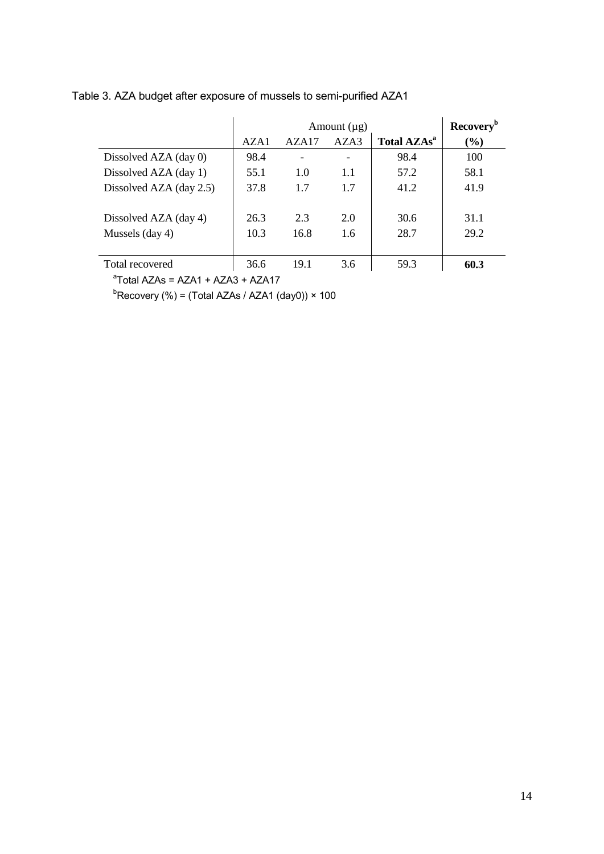|                           |      | <b>Recovery</b> <sup>b</sup> |      |                         |               |
|---------------------------|------|------------------------------|------|-------------------------|---------------|
|                           | AZA1 | AZA <sub>17</sub>            | AZA3 | Total AZAs <sup>a</sup> | $\frac{6}{6}$ |
| Dissolved AZA (day 0)     | 98.4 |                              |      | 98.4                    | 100           |
| Dissolved AZA (day 1)     | 55.1 | 1.0                          | 1.1  | 57.2                    | 58.1          |
| Dissolved AZA (day 2.5)   | 37.8 | 1.7                          | 1.7  | 41.2                    | 41.9          |
|                           |      |                              |      |                         |               |
| Dissolved AZA (day 4)     | 26.3 | 2.3                          | 2.0  | 30.6                    | 31.1          |
| Mussels $(\text{day } 4)$ | 10.3 | 16.8                         | 1.6  | 28.7                    | 29.2          |
|                           |      |                              |      |                         |               |
| Total recovered           | 36.6 | 19.1                         | 3.6  | 59.3                    | 60.3          |

# Table 3. AZA budget after exposure of mussels to semi-purified AZA1

 $aT$ otal AZAs = AZA1 + AZA3 + AZA17

 $b$ Recovery (%) = (Total AZAs / AZA1 (day0))  $\times$  100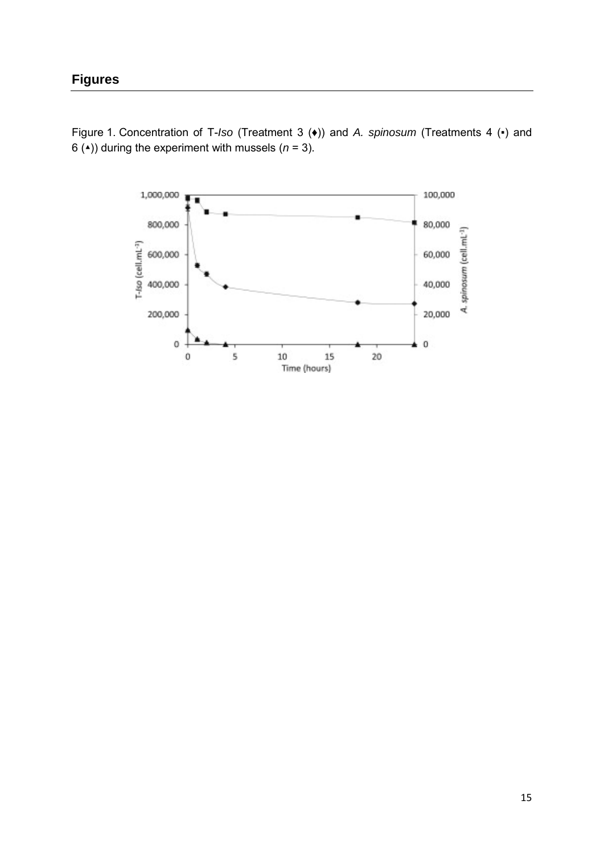Figure 1. Concentration of T-*Iso* (Treatment 3 (♦)) and *A. spinosum* (Treatments 4 (▪) and 6 ( $\triangle$ )) during the experiment with mussels ( $n = 3$ ).

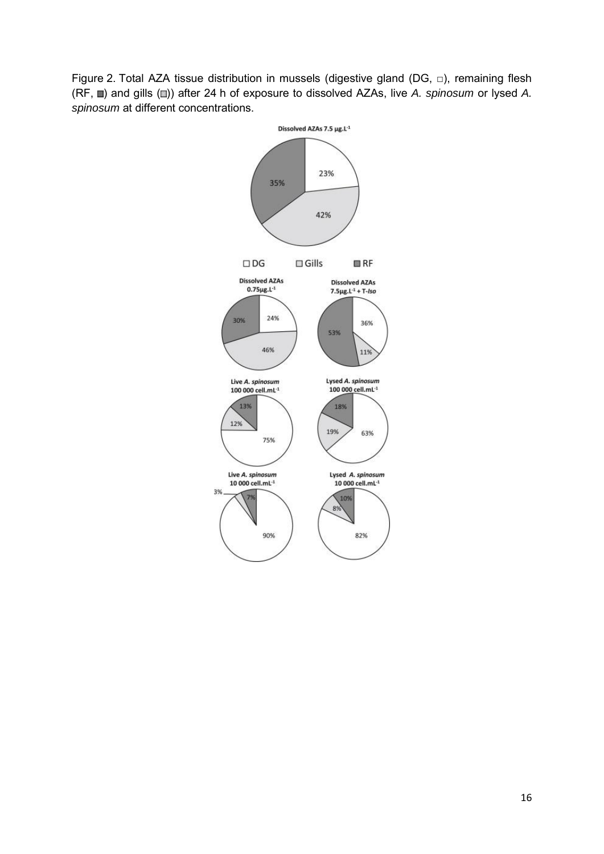Figure 2. Total AZA tissue distribution in mussels (digestive gland (DG, □), remaining flesh (RF, ■) and gills (□)) after 24 h of exposure to dissolved AZAs, live *A. spinosum* or lysed *A. spinosum* at different concentrations.